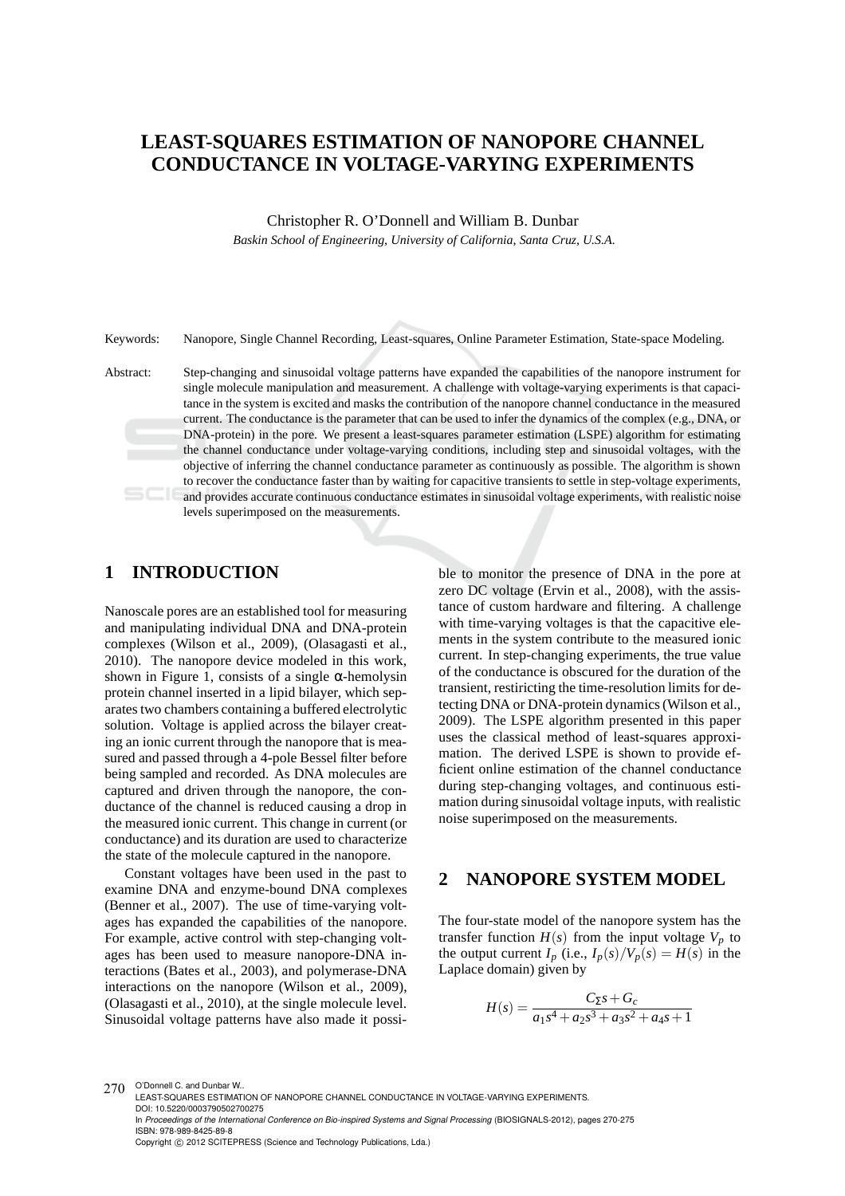# **LEAST-SQUARES ESTIMATION OF NANOPORE CHANNEL CONDUCTANCE IN VOLTAGE-VARYING EXPERIMENTS**

Christopher R. O'Donnell and William B. Dunbar

*Baskin School of Engineering, University of California, Santa Cruz, U.S.A.*

Keywords: Nanopore, Single Channel Recording, Least-squares, Online Parameter Estimation, State-space Modeling.

Abstract: Step-changing and sinusoidal voltage patterns have expanded the capabilities of the nanopore instrument for single molecule manipulation and measurement. A challenge with voltage-varying experiments is that capacitance in the system is excited and masks the contribution of the nanopore channel conductance in the measured current. The conductance is the parameter that can be used to infer the dynamics of the complex (e.g., DNA, or DNA-protein) in the pore. We present a least-squares parameter estimation (LSPE) algorithm for estimating the channel conductance under voltage-varying conditions, including step and sinusoidal voltages, with the objective of inferring the channel conductance parameter as continuously as possible. The algorithm is shown to recover the conductance faster than by waiting for capacitive transients to settle in step-voltage experiments, and provides accurate continuous conductance estimates in sinusoidal voltage experiments, with realistic noise levels superimposed on the measurements.

## **1 INTRODUCTION**

Nanoscale pores are an established tool for measuring and manipulating individual DNA and DNA-protein complexes (Wilson et al., 2009), (Olasagasti et al., 2010). The nanopore device modeled in this work, shown in Figure 1, consists of a single  $\alpha$ -hemolysin protein channel inserted in a lipid bilayer, which separates two chambers containing a buffered electrolytic solution. Voltage is applied across the bilayer creating an ionic current through the nanopore that is measured and passed through a 4-pole Bessel filter before being sampled and recorded. As DNA molecules are captured and driven through the nanopore, the conductance of the channel is reduced causing a drop in the measured ionic current. This change in current (or conductance) and its duration are used to characterize the state of the molecule captured in the nanopore.

Constant voltages have been used in the past to examine DNA and enzyme-bound DNA complexes (Benner et al., 2007). The use of time-varying voltages has expanded the capabilities of the nanopore. For example, active control with step-changing voltages has been used to measure nanopore-DNA interactions (Bates et al., 2003), and polymerase-DNA interactions on the nanopore (Wilson et al., 2009), (Olasagasti et al., 2010), at the single molecule level. Sinusoidal voltage patterns have also made it possible to monitor the presence of DNA in the pore at zero DC voltage (Ervin et al., 2008), with the assistance of custom hardware and filtering. A challenge with time-varying voltages is that the capacitive elements in the system contribute to the measured ionic current. In step-changing experiments, the true value of the conductance is obscured for the duration of the transient, restiricting the time-resolution limits for detecting DNA or DNA-protein dynamics (Wilson et al., 2009). The LSPE algorithm presented in this paper uses the classical method of least-squares approximation. The derived LSPE is shown to provide efficient online estimation of the channel conductance during step-changing voltages, and continuous estimation during sinusoidal voltage inputs, with realistic noise superimposed on the measurements.

### **2 NANOPORE SYSTEM MODEL**

The four-state model of the nanopore system has the transfer function  $H(s)$  from the input voltage  $V_p$  to the output current  $I_p$  (i.e.,  $I_p(s)/V_p(s) = H(s)$  in the Laplace domain) given by

$$
H(s) = \frac{C_{\Sigma}s + G_c}{a_1s^4 + a_2s^3 + a_3s^2 + a_4s + 1}
$$

<sup>270</sup> O'Donnell C. and Dunbar W.

LEAST-SQUARES ESTIMATION OF NANOPORE CHANNEL CONDUCTANCE IN VOLTAGE-VARYING EXPERIMENTS. DOI: 10.5220/0003790502700275

In *Proceedings of the International Conference on Bio-inspired Systems and Signal Processing* (BIOSIGNALS-2012), pages 270-275 ISBN: 978-989-8425-89-8

Copyright © 2012 SCITEPRESS (Science and Technology Publications, Lda.)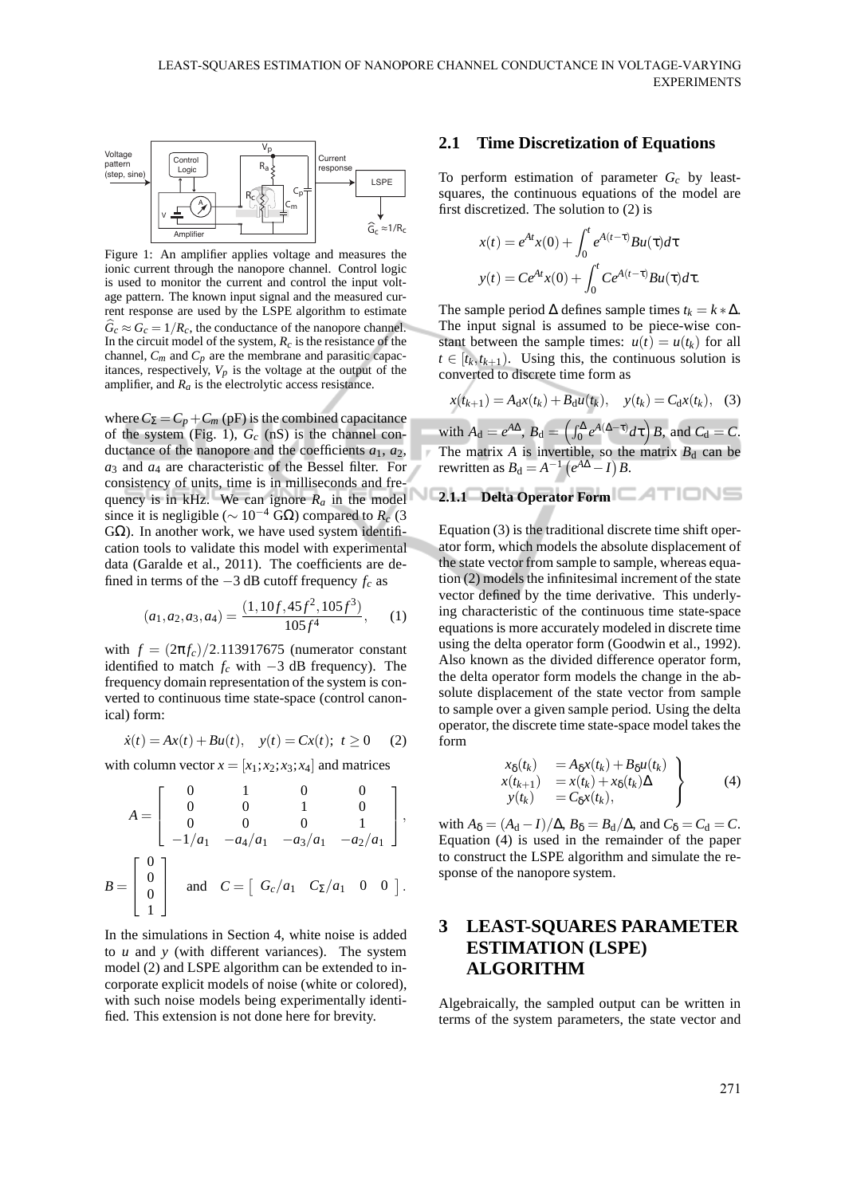

Figure 1: An amplifier applies voltage and measures the ionic current through the nanopore channel. Control logic is used to monitor the current and control the input voltage pattern. The known input signal and the measured current response are used by the LSPE algorithm to estimate  $\hat{G}_c \approx G_c = 1/R_c$ , the conductance of the nanopore channel. In the circuit model of the system,  $R_c$  is the resistance of the channel,  $C_m$  and  $C_p$  are the membrane and parasitic capacitances, respectively,  $V_p$  is the voltage at the output of the amplifier, and  $R_a$  is the electrolytic access resistance.

where  $C_{\Sigma} = C_p + C_m$  (pF) is the combined capacitance of the system (Fig. 1),  $G_c$  (nS) is the channel conductance of the nanopore and the coefficients  $a_1$ ,  $a_2$ , *a*<sup>3</sup> and *a*<sup>4</sup> are characteristic of the Bessel filter. For consistency of units, time is in milliseconds and frequency is in kHz. We can ignore  $R_a$  in the model since it is negligible ( $\sim 10^{-4}$  GΩ) compared to *R<sub>c</sub>* (3) GΩ). In another work, we have used system identification tools to validate this model with experimental data (Garalde et al., 2011). The coefficients are defined in terms of the −3 dB cutoff frequency *f<sup>c</sup>* as

$$
(a_1, a_2, a_3, a_4) = \frac{(1, 10f, 45f^2, 105f^3)}{105f^4}, \quad (1)
$$

with  $f = (2\pi f_c)/2.113917675$  (numerator constant identified to match  $f_c$  with  $-3$  dB frequency). The frequency domain representation of the system is converted to continuous time state-space (control canonical) form:

$$
\dot{x}(t) = Ax(t) + Bu(t), \quad y(t) = Cx(t); \ t \ge 0 \tag{2}
$$

with column vector  $x = [x_1; x_2; x_3; x_4]$  and matrices

$$
A = \begin{bmatrix} 0 & 1 & 0 & 0 \\ 0 & 0 & 1 & 0 \\ 0 & 0 & 0 & 1 \\ -1/a_1 & -a_4/a_1 & -a_3/a_1 & -a_2/a_1 \end{bmatrix},
$$
  

$$
B = \begin{bmatrix} 0 \\ 0 \\ 0 \\ 1 \end{bmatrix} \text{ and } C = \begin{bmatrix} G_c/a_1 & C_{\Sigma}/a_1 & 0 & 0 \end{bmatrix}.
$$

In the simulations in Section 4, white noise is added to *u* and *y* (with different variances). The system model (2) and LSPE algorithm can be extended to incorporate explicit models of noise (white or colored), with such noise models being experimentally identified. This extension is not done here for brevity.

### **2.1 Time Discretization of Equations**

To perform estimation of parameter *G<sup>c</sup>* by leastsquares, the continuous equations of the model are first discretized. The solution to (2) is

$$
x(t) = e^{At}x(0) + \int_0^t e^{A(t-\tau)}Bu(\tau)d\tau
$$

$$
y(t) = Ce^{At}x(0) + \int_0^t Ce^{A(t-\tau)}Bu(\tau)d\tau.
$$

The sample period  $\Delta$  defines sample times  $t_k = k * \Delta$ . The input signal is assumed to be piece-wise constant between the sample times:  $u(t) = u(t_k)$  for all  $t \in [t_k, t_{k+1})$ . Using this, the continuous solution is converted to discrete time form as

$$
x(t_{k+1}) = A_d x(t_k) + B_d u(t_k), \quad y(t_k) = C_d x(t_k), \quad (3)
$$

with  $A_d = e^{A\Delta}$ ,  $B_d = \left(\int_0^{\Delta} e^{A(\Delta - \tau)} d\tau\right) B$ , and  $C_d = C$ . The matrix  $A$  is invertible, so the matrix  $B_d$  can be rewritten as  $B_d = A^{-1} (e^{A\Delta} - I) B$ .

**2.1.1 Delta Operator Form**

Equation (3) is the traditional discrete time shift operator form, which models the absolute displacement of the state vector from sample to sample, whereas equation (2) models the infinitesimal increment of the state vector defined by the time derivative. This underlying characteristic of the continuous time state-space equations is more accurately modeled in discrete time using the delta operator form (Goodwin et al., 1992). Also known as the divided difference operator form, the delta operator form models the change in the absolute displacement of the state vector from sample to sample over a given sample period. Using the delta operator, the discrete time state-space model takes the form

$$
\begin{array}{rcl}\nx_{\delta}(t_{k}) &=& A_{\delta}x(t_{k}) + B_{\delta}u(t_{k}) \\
x(t_{k+1}) &=& x(t_{k}) + x_{\delta}(t_{k})\Delta \\
y(t_{k}) &=& C_{\delta}x(t_{k}),\n\end{array}\n\bigg\} \tag{4}
$$

with  $A_{\delta} = (A_d - I)/\Delta$ ,  $B_{\delta} = B_d/\Delta$ , and  $C_{\delta} = C_d = C$ . Equation (4) is used in the remainder of the paper to construct the LSPE algorithm and simulate the response of the nanopore system.

# **3 LEAST-SQUARES PARAMETER ESTIMATION (LSPE) ALGORITHM**

Algebraically, the sampled output can be written in terms of the system parameters, the state vector and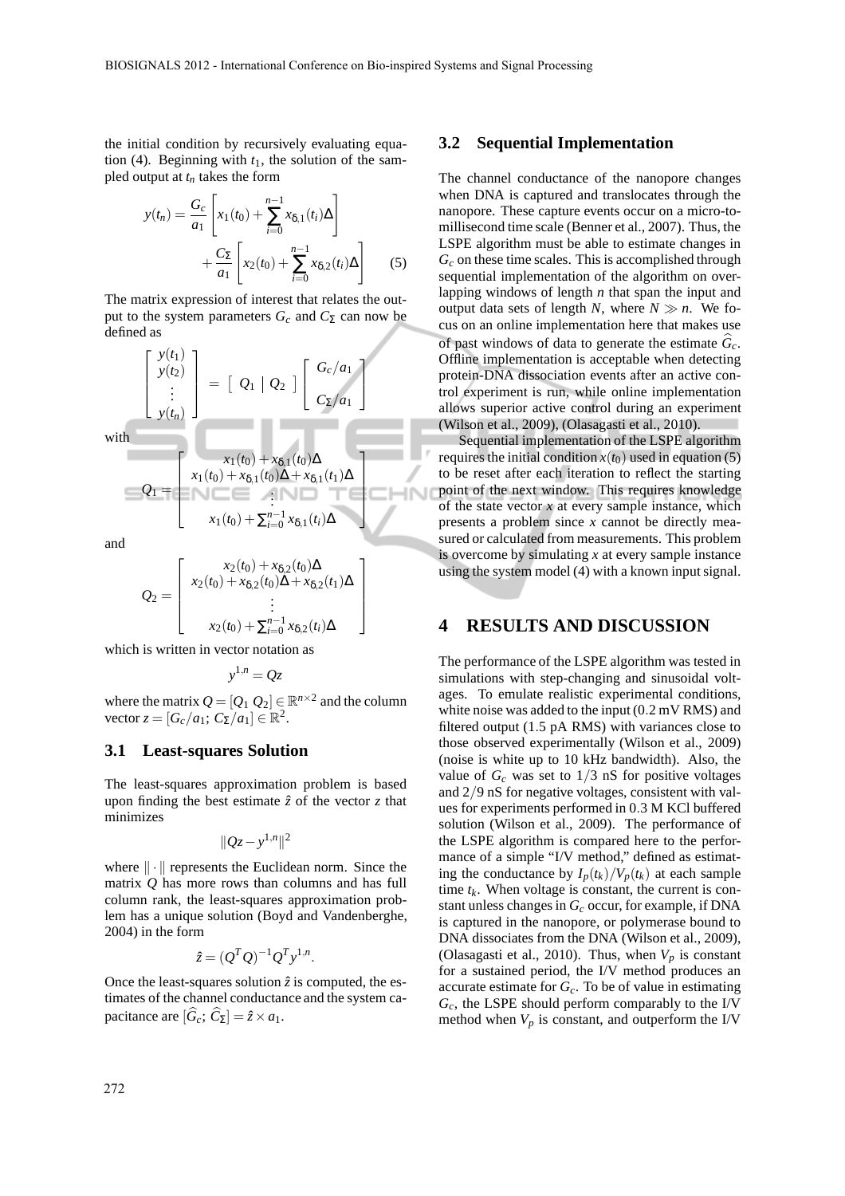1  $\perp$  $\mathbf{I}$  $\mathbf{I}$  $\mathbf{I}$ 

the initial condition by recursively evaluating equation (4). Beginning with  $t_1$ , the solution of the sampled output at *t<sup>n</sup>* takes the form

$$
y(t_n) = \frac{G_c}{a_1} \left[ x_1(t_0) + \sum_{i=0}^{n-1} x_{\delta,1}(t_i) \Delta \right] + \frac{C_{\Sigma}}{a_1} \left[ x_2(t_0) + \sum_{i=0}^{n-1} x_{\delta,2}(t_i) \Delta \right]
$$
 (5)

The matrix expression of interest that relates the output to the system parameters  $G_c$  and  $C_{\Sigma}$  can now be defined as

$$
\begin{bmatrix}\ny(t_1) \\
y(t_2) \\
\vdots \\
y(t_n)\n\end{bmatrix} = \begin{bmatrix}\nQ_1 \mid Q_2\n\end{bmatrix} \begin{bmatrix}\nG_c/a_1 \\
C_{\Sigma}/a_1\n\end{bmatrix}
$$
\nwith\n
$$
Q_1 = \begin{bmatrix}\nx_1(t_0) + x_{\delta,1}(t_0)\Delta \\
x_1(t_0) + x_{\delta,1}(t_0)\Delta + x_{\delta,1}(t_1)\Delta \\
\vdots \\
x_1(t_0) + \sum_{i=0}^{n-1} x_{\delta,1}(t_i)\Delta\n\end{bmatrix}
$$

and

$$
Q_2 = \begin{bmatrix} x_2(t_0) + x_{\delta,2}(t_0) \Delta \\ x_2(t_0) + x_{\delta,2}(t_0) \Delta + x_{\delta,2}(t_1) \Delta \\ \vdots \\ x_2(t_0) + \sum_{i=0}^{n-1} x_{\delta,2}(t_i) \Delta \end{bmatrix}
$$

which is written in vector notation as

$$
y^{1,n} = Qz
$$

where the matrix  $Q = [Q_1 \ Q_2] \in \mathbb{R}^{n \times 2}$  and the column vector  $z = [G_c/a_1; C_{\Sigma}/a_1] \in \mathbb{R}^2$ .

#### **3.1 Least-squares Solution**

The least-squares approximation problem is based upon finding the best estimate  $\hat{z}$  of the vector  $\zeta$  that minimizes

$$
||Qz - y^{1,n}||^2
$$

where  $\|\cdot\|$  represents the Euclidean norm. Since the matrix *Q* has more rows than columns and has full column rank, the least-squares approximation problem has a unique solution (Boyd and Vandenberghe, 2004) in the form

$$
\hat{z} = (Q^T Q)^{-1} Q^T y^{1,n}.
$$

Once the least-squares solution  $\hat{z}$  is computed, the estimates of the channel conductance and the system capacitance are  $[\hat{G}_c; \hat{C}_\Sigma] = \hat{z} \times a_1$ .

#### **3.2 Sequential Implementation**

The channel conductance of the nanopore changes when DNA is captured and translocates through the nanopore. These capture events occur on a micro-tomillisecond time scale (Benner et al., 2007). Thus, the LSPE algorithm must be able to estimate changes in *G<sup>c</sup>* on these time scales. This is accomplished through sequential implementation of the algorithm on overlapping windows of length *n* that span the input and output data sets of length *N*, where  $N \gg n$ . We focus on an online implementation here that makes use of past windows of data to generate the estimate  $\hat{G}_c$ . Offline implementation is acceptable when detecting protein-DNA dissociation events after an active control experiment is run, while online implementation allows superior active control during an experiment (Wilson et al., 2009), (Olasagasti et al., 2010).

Sequential implementation of the LSPE algorithm requires the initial condition  $x(t_0)$  used in equation (5) to be reset after each iteration to reflect the starting point of the next window. This requires knowledge of the state vector *x* at every sample instance, which presents a problem since *x* cannot be directly measured or calculated from measurements. This problem is overcome by simulating *x* at every sample instance using the system model (4) with a known input signal.

#### **4 RESULTS AND DISCUSSION**

The performance of the LSPE algorithm was tested in simulations with step-changing and sinusoidal voltages. To emulate realistic experimental conditions, white noise was added to the input (0.2 mV RMS) and filtered output (1.5 pA RMS) with variances close to those observed experimentally (Wilson et al., 2009) (noise is white up to 10 kHz bandwidth). Also, the value of  $G_c$  was set to  $1/3$  nS for positive voltages and 2/9 nS for negative voltages, consistent with values for experiments performed in 0.3 M KCl buffered solution (Wilson et al., 2009). The performance of the LSPE algorithm is compared here to the performance of a simple "I/V method," defined as estimating the conductance by  $I_p(t_k)/V_p(t_k)$  at each sample time  $t_k$ . When voltage is constant, the current is constant unless changes in *G<sup>c</sup>* occur, for example, if DNA is captured in the nanopore, or polymerase bound to DNA dissociates from the DNA (Wilson et al., 2009), (Olasagasti et al., 2010). Thus, when  $V_p$  is constant for a sustained period, the I/V method produces an accurate estimate for *Gc*. To be of value in estimating  $G_c$ , the LSPE should perform comparably to the I/V method when  $V_p$  is constant, and outperform the I/V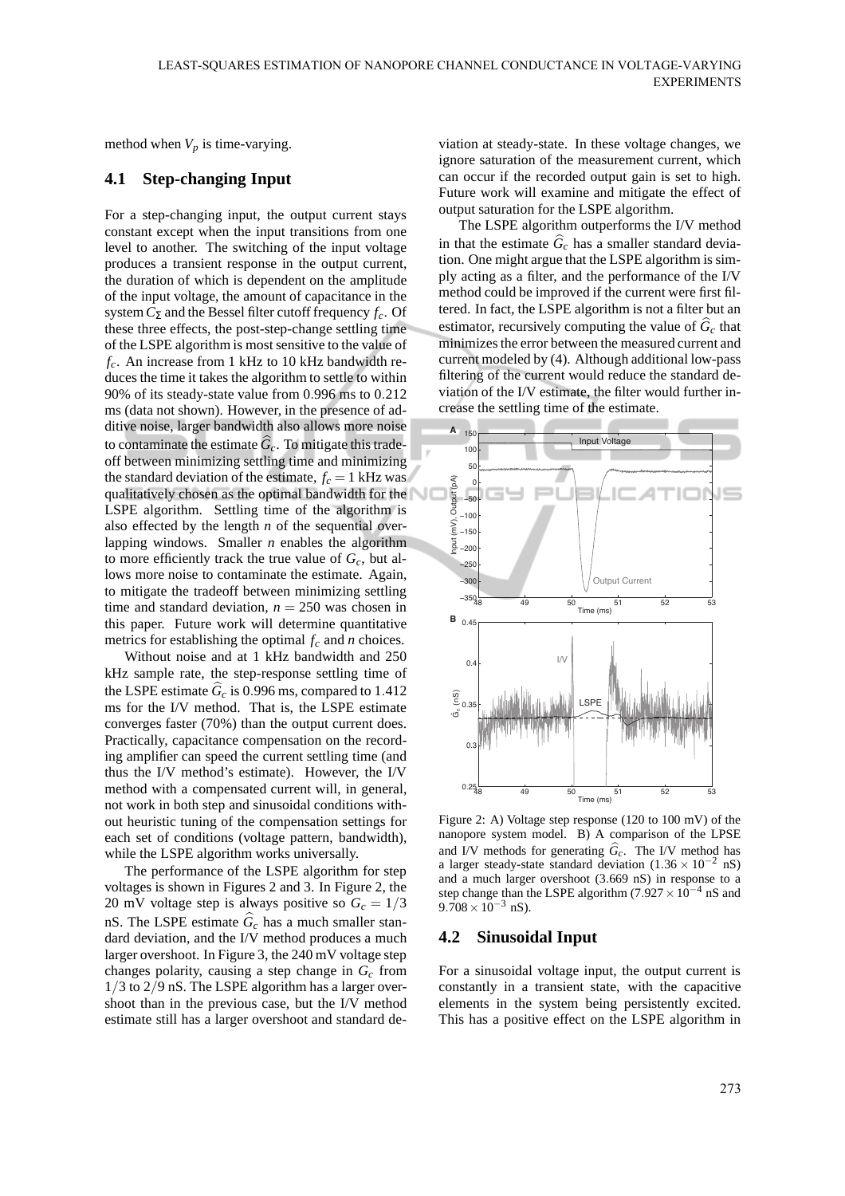method when  $V_p$  is time-varying.

## **4.1 Step-changing Input**

For a step-changing input, the output current stays constant except when the input transitions from one level to another. The switching of the input voltage produces a transient response in the output current, the duration of which is dependent on the amplitude of the input voltage, the amount of capacitance in the system*C*<sup>Σ</sup> and the Bessel filter cutoff frequency *fc*. Of these three effects, the post-step-change settling time of the LSPE algorithm is most sensitive to the value of *fc*. An increase from 1 kHz to 10 kHz bandwidth reduces the time it takes the algorithm to settle to within 90% of its steady-state value from 0.996 ms to 0.212 ms (data not shown). However, in the presence of additive noise, larger bandwidth also allows more noise to contaminate the estimate  $\widehat{G}_c$ . To mitigate this tradeoff between minimizing settling time and minimizing the standard deviation of the estimate,  $f_c = 1$  kHz was qualitatively chosen as the optimal bandwidth for the LSPE algorithm. Settling time of the algorithm is also effected by the length *n* of the sequential overlapping windows. Smaller *n* enables the algorithm to more efficiently track the true value of *Gc*, but allows more noise to contaminate the estimate. Again, to mitigate the tradeoff between minimizing settling time and standard deviation,  $n = 250$  was chosen in this paper. Future work will determine quantitative metrics for establishing the optimal *f<sup>c</sup>* and *n* choices.

Without noise and at 1 kHz bandwidth and 250 kHz sample rate, the step-response settling time of the LSPE estimate  $\hat{G}_c$  is 0.996 ms, compared to 1.412 ms for the I/V method. That is, the LSPE estimate converges faster (70%) than the output current does. Practically, capacitance compensation on the recording amplifier can speed the current settling time (and thus the I/V method's estimate). However, the I/V method with a compensated current will, in general, not work in both step and sinusoidal conditions without heuristic tuning of the compensation settings for each set of conditions (voltage pattern, bandwidth), while the LSPE algorithm works universally.

The performance of the LSPE algorithm for step voltages is shown in Figures 2 and 3. In Figure 2, the 20 mV voltage step is always positive so  $G_c = 1/3$ nS. The LSPE estimate  $\hat{G}_c$  has a much smaller standard deviation, and the I/V method produces a much larger overshoot. In Figure 3, the 240 mV voltage step changes polarity, causing a step change in *G<sup>c</sup>* from 1/3 to 2/9 nS. The LSPE algorithm has a larger overshoot than in the previous case, but the I/V method estimate still has a larger overshoot and standard de-

viation at steady-state. In these voltage changes, we ignore saturation of the measurement current, which can occur if the recorded output gain is set to high. Future work will examine and mitigate the effect of output saturation for the LSPE algorithm.

The LSPE algorithm outperforms the I/V method in that the estimate  $\hat{G}_c$  has a smaller standard deviation. One might argue that the LSPE algorithm is simply acting as a filter, and the performance of the I/V method could be improved if the current were first filtered. In fact, the LSPE algorithm is not a filter but an estimator, recursively computing the value of  $\hat{G}_c$  that minimizes the error between the measured current and current modeled by (4). Although additional low-pass filtering of the current would reduce the standard deviation of the I/V estimate, the filter would further increase the settling time of the estimate.



Figure 2: A) Voltage step response (120 to 100 mV) of the nanopore system model. B) A comparison of the LPSE and I/V methods for generating  $\hat{G}_c$ . The I/V method has a larger steady-state standard deviation  $(1.36 \times 10^{-2} \text{ nS})$ and a much larger overshoot (3.669 nS) in response to a step change than the LSPE algorithm (7.927  $\times 10^{-4}$  nS and  $9.708 \times 10^{-3}$  nS).

#### **4.2 Sinusoidal Input**

For a sinusoidal voltage input, the output current is constantly in a transient state, with the capacitive elements in the system being persistently excited. This has a positive effect on the LSPE algorithm in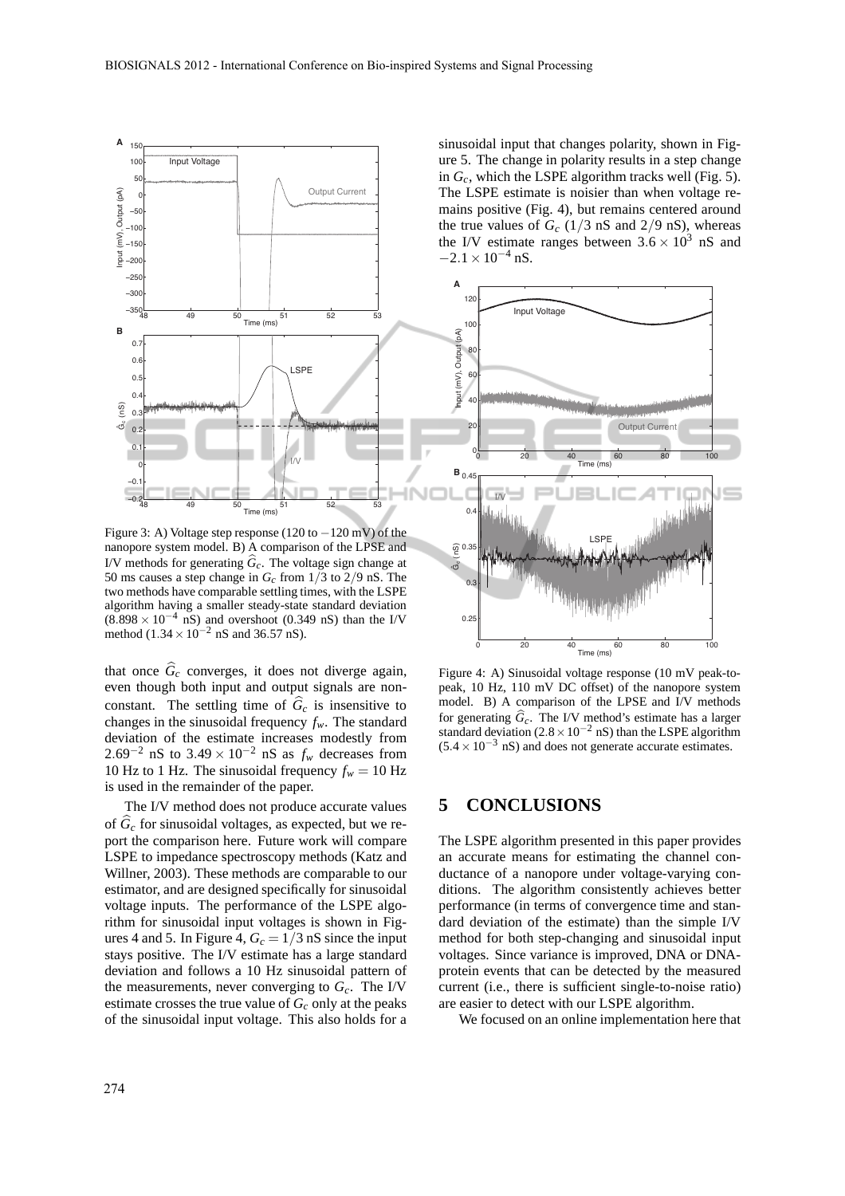

Figure 3: A) Voltage step response (120 to −120 mV) of the nanopore system model. B) A comparison of the LPSE and I/V methods for generating  $\hat{G}_c$ . The voltage sign change at 50 ms causes a step change in *Gc* from 1/3 to 2/9 nS. The two methods have comparable settling times, with the LSPE algorithm having a smaller steady-state standard deviation  $(8.898 \times 10^{-4} \text{ nS})$  and overshoot (0.349 nS) than the I/V method (1.34 × 10<sup>-2</sup> nS and 36.57 nS).

that once  $\hat{G}_c$  converges, it does not diverge again, even though both input and output signals are nonconstant. The settling time of  $\hat{G}_c$  is insensitive to changes in the sinusoidal frequency *fw*. The standard deviation of the estimate increases modestly from 2.69<sup>-2</sup> nS to 3.49 × 10<sup>-2</sup> nS as  $f_w$  decreases from 10 Hz to 1 Hz. The sinusoidal frequency  $f_w = 10$  Hz is used in the remainder of the paper.

The I/V method does not produce accurate values of  $\tilde{G}_c$  for sinusoidal voltages, as expected, but we report the comparison here. Future work will compare LSPE to impedance spectroscopy methods (Katz and Willner, 2003). These methods are comparable to our estimator, and are designed specifically for sinusoidal voltage inputs. The performance of the LSPE algorithm for sinusoidal input voltages is shown in Figures 4 and 5. In Figure 4,  $G_c = 1/3$  nS since the input stays positive. The I/V estimate has a large standard deviation and follows a 10 Hz sinusoidal pattern of the measurements, never converging to  $G_c$ . The I/V estimate crosses the true value of  $G_c$  only at the peaks of the sinusoidal input voltage. This also holds for a sinusoidal input that changes polarity, shown in Figure 5. The change in polarity results in a step change in *Gc*, which the LSPE algorithm tracks well (Fig. 5). The LSPE estimate is noisier than when voltage remains positive (Fig. 4), but remains centered around the true values of  $G_c$  (1/3 nS and 2/9 nS), whereas the I/V estimate ranges between  $3.6 \times 10^3$  nS and  $-2.1 \times 10^{-4}$  nS.



Figure 4: A) Sinusoidal voltage response (10 mV peak-topeak, 10 Hz, 110 mV DC offset) of the nanopore system model. B) A comparison of the LPSE and I/V methods for generating  $\hat{G}_c$ . The I/V method's estimate has a larger standard deviation ( $2.8 \times 10^{-2}$  nS) than the LSPE algorithm  $(5.4 \times 10^{-3} \text{ nS})$  and does not generate accurate estimates.

## **5 CONCLUSIONS**

The LSPE algorithm presented in this paper provides an accurate means for estimating the channel conductance of a nanopore under voltage-varying conditions. The algorithm consistently achieves better performance (in terms of convergence time and standard deviation of the estimate) than the simple I/V method for both step-changing and sinusoidal input voltages. Since variance is improved, DNA or DNAprotein events that can be detected by the measured current (i.e., there is sufficient single-to-noise ratio) are easier to detect with our LSPE algorithm.

We focused on an online implementation here that